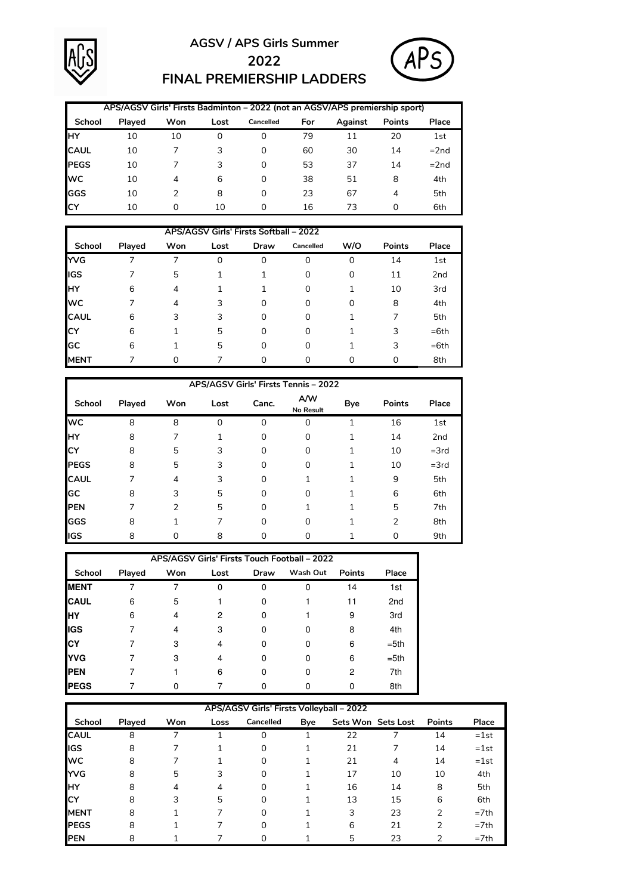

## **AGSV / APS Girls Summer 2022 FINAL PREMIERSHIP LADDERS**



|               |        |     |          | APS/AGSV Girls' Firsts Badminton - 2022 (not an AGSV/APS premiership sport) |     |         |               |        |
|---------------|--------|-----|----------|-----------------------------------------------------------------------------|-----|---------|---------------|--------|
| <b>School</b> | Played | Won | Lost     | Cancelled                                                                   | For | Against | <b>Points</b> | Place  |
| IнY           | 10     | 10  | $\Omega$ | 0                                                                           | 79  | 11      | 20            | 1st    |
| <b>CAUL</b>   | 10     |     | 3        | 0                                                                           | 60  | 30      | 14            | $=2nd$ |
| <b>PEGS</b>   | 10     |     | 3        | 0                                                                           | 53  | 37      | 14            | $=2nd$ |
| <b>WC</b>     | 10     | 4   | 6        | 0                                                                           | 38  | 51      | 8             | 4th    |
| lggs          | 10     |     | 8        | 0                                                                           | 23  | 67      | 4             | 5th    |
| <b>ICY</b>    | 10     | Ω   | 10       |                                                                             | 16  | 73      | 0             | 6th    |

|              |        |     |      | APS/AGSV Girls' Firsts Softball - 2022 |           |     |               |                 |
|--------------|--------|-----|------|----------------------------------------|-----------|-----|---------------|-----------------|
| School       | Played | Won | Lost | Draw                                   | Cancelled | W/O | <b>Points</b> | Place           |
| <b>IYVG</b>  |        |     | 0    | 0                                      | 0         | 0   | 14            | 1st             |
| IGS          |        | 5   |      |                                        | 0         | 0   | 11            | 2 <sub>nd</sub> |
| <b>HY</b>    | 6      | 4   |      |                                        | 0         |     | 10            | 3rd             |
| <b>I</b> wc  |        | 4   | 3    | 0                                      | 0         | 0   | 8             | 4th             |
| <b>CAUL</b>  | 6      | 3   | 3    | 0                                      | 0         |     | 7             | 5th             |
| <b>CY</b>    | 6      |     | 5    | 0                                      | 0         |     | 3             | $=6th$          |
| lGC          | 6      |     | 5    | 0                                      | 0         |     | 3             | $=6th$          |
| <b>IMENT</b> |        | ი   |      |                                        |           |     | 0             | 8th             |

|              |        |               |          |          | APS/AGSV Girls' Firsts Tennis - 2022 |     |                |                 |
|--------------|--------|---------------|----------|----------|--------------------------------------|-----|----------------|-----------------|
| School       | Played | Won           | Lost     | Canc.    | A/W<br>No Result                     | Bye | <b>Points</b>  | Place           |
| <b>WC</b>    | 8      | 8             | $\Omega$ | $\Omega$ | 0                                    | 1   | 16             | 1st             |
| IнY          | 8      |               |          | 0        | 0                                    |     | 14             | 2 <sub>nd</sub> |
| Ic۲          | 8      | 5             | 3        | 0        | 0                                    |     | 10             | $=3rd$          |
| <b>PEGS</b>  | 8      | 5             | 3        | $\Omega$ | 0                                    |     | 10             | $=3rd$          |
| <b>CAUL</b>  |        | 4             | 3        | $\Omega$ |                                      |     | 9              | 5th             |
| GC           | 8      | 3             | 5        | $\Omega$ | 0                                    |     | 6              | 6th             |
| <b>IPEN</b>  | 7      | $\mathcal{P}$ | 5        | $\Omega$ |                                      |     | 5              | 7th             |
| GGS          | 8      |               |          | 0        | 0                                    |     | $\overline{2}$ | 8th             |
| <b>I</b> IGS | 8      |               | 8        | Ω        | ი                                    |     | 0              | 9th             |

|              |        |     |      |      | APS/AGSV Girls' Firsts Touch Football - 2022 |               |                 |
|--------------|--------|-----|------|------|----------------------------------------------|---------------|-----------------|
| School       | Played | Won | Lost | Draw | Wash Out                                     | <b>Points</b> | Place           |
| <b>MENT</b>  |        |     | O    |      |                                              | 14            | 1st             |
| <b>CAUL</b>  | 6      | 5   |      |      |                                              | 11            | 2 <sub>nd</sub> |
| IнY          | 6      |     | 2    |      |                                              | 9             | 3rd             |
| <b>IGS</b>   |        |     | 3    |      |                                              | 8             | 4th             |
| <b>ICY</b>   |        |     |      |      |                                              | 6             | $= 5th$         |
| <b>YVG</b>   |        | 3   |      |      |                                              | 6             | $= 5th$         |
| <b>I</b> PEN |        |     | 6    |      |                                              | 2             | 7th             |
| <b>PEGS</b>  |        |     |      |      |                                              |               | 8th             |

|              |        |            |      | APS/AGSV Girls' Firsts Volleyball - 2022 |     |    |                    |               |        |
|--------------|--------|------------|------|------------------------------------------|-----|----|--------------------|---------------|--------|
| School       | Played | <b>Won</b> | Loss | Cancelled                                | Bye |    | Sets Won Sets Lost | <b>Points</b> | Place  |
| <b>CAUL</b>  | 8      |            |      | $\Omega$                                 |     | 22 |                    | 14            | $=1st$ |
| <b>l</b> igs | 8      |            |      | 0                                        |     | 21 |                    | 14            | $=1st$ |
| <b>I</b> wc  | 8      |            |      | 0                                        |     | 21 | 4                  | 14            | $=1st$ |
| <b>IYVG</b>  | 8      | 5          | 3    | $\Omega$                                 |     | 17 | 10                 | 10            | 4th    |
| <b>IHY</b>   | 8      | 4          | 4    | $\Omega$                                 |     | 16 | 14                 | 8             | 5th    |
| lсY          | 8      | 3          | 5    | 0                                        |     | 13 | 15                 | 6             | 6th    |
| <b>MENT</b>  | 8      |            |      | $\Omega$                                 |     | 3  | 23                 | 2             | $=7th$ |
| <b>PEGS</b>  | 8      |            |      | $\Omega$                                 |     | 6  | 21                 | 2             | $=7th$ |
| <b>PEN</b>   | 8      |            |      |                                          |     | 5  | 23                 | <sup>2</sup>  | $=7th$ |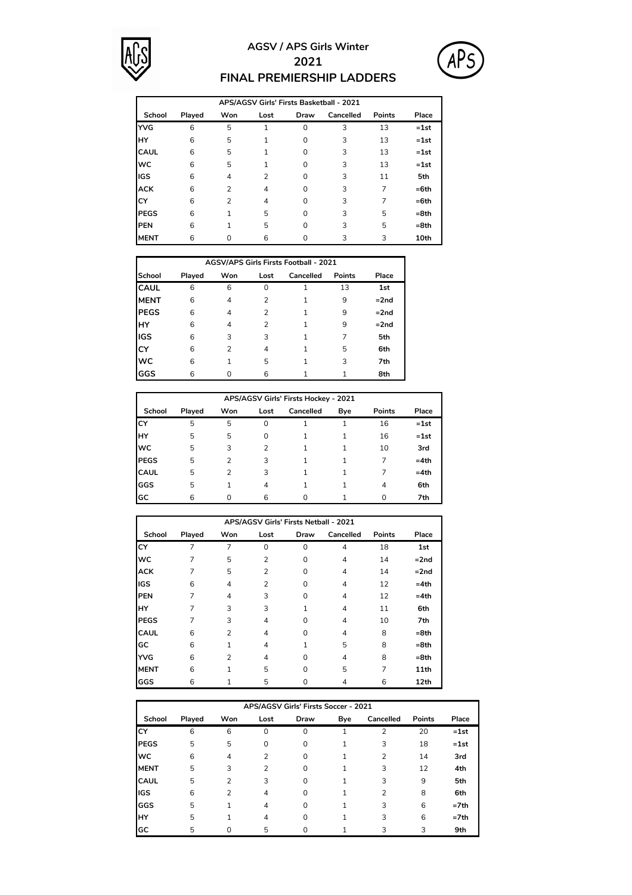

## **AGSV / APS Girls Winter 2021 FINAL PREMIERSHIP LADDERS**



|             |        |                |                |          | APS/AGSV Girls' Firsts Basketball - 2021 |        |        |
|-------------|--------|----------------|----------------|----------|------------------------------------------|--------|--------|
| School      | Played | Won            | Lost           | Draw     | Cancelled                                | Points | Place  |
| <b>YVG</b>  | 6      | 5              | 1              | $\Omega$ | 3                                        | 13     | $=1st$ |
| HY          | 6      | 5              | 1              | 0        | 3                                        | 13     | $=1st$ |
| <b>CAUL</b> | 6      | 5              | 1              | 0        | 3                                        | 13     | $=1st$ |
| <b>WC</b>   | 6      | 5              |                | $\Omega$ | 3                                        | 13     | $=1st$ |
| IGS         | 6      | 4              | $\overline{2}$ | 0        | 3                                        | 11     | 5th    |
| <b>ACK</b>  | 6      | $\overline{2}$ | 4              | 0        | 3                                        | 7      | $=6th$ |
| CY          | 6      | 2              | 4              | $\Omega$ | 3                                        | 7      | $=6th$ |
| <b>PEGS</b> | 6      | 1              | 5              | 0        | 3                                        | 5      | $=8th$ |
| <b>PEN</b>  | 6      | 1              | 5              | $\Omega$ | 3                                        | 5      | $=8th$ |
| <b>MENT</b> | 6      | $\Omega$       | 6              | ∩        | 3                                        | 3      | 10th   |

|             |        |     |      | <b>AGSV/APS Girls Firsts Football - 2021</b> |        |        |
|-------------|--------|-----|------|----------------------------------------------|--------|--------|
| School      | Played | Won | Lost | Cancelled                                    | Points | Place  |
| <b>CAUL</b> | 6      | 6   | 0    |                                              | 13     | 1st    |
| <b>MENT</b> | 6      | 4   | 2    |                                              | 9      | $=2nd$ |
| <b>PEGS</b> | 6      | 4   | 2    |                                              | 9      | $=2nd$ |
| HY          | 6      | 4   | 2    |                                              | 9      | $=2nd$ |
| <b>IGS</b>  | 6      | 3   | 3    |                                              |        | 5th    |
| <b>CY</b>   | 6      | 2   | 4    |                                              | 5      | 6th    |
| <b>WC</b>   | 6      |     | 5    |                                              | 3      | 7th    |
| GGS         | 6      |     | 6    |                                              |        | 8th    |

|             |        |     |      | APS/AGSV Girls' Firsts Hockey - 2021 |     |          |        |
|-------------|--------|-----|------|--------------------------------------|-----|----------|--------|
| School      | Played | Won | Lost | Cancelled                            | Bye | Points   | Place  |
| ГCY         | 5      | 5   | 0    |                                      |     | 16       | $=1st$ |
| IнY         | 5      | 5   | 0    |                                      |     | 16       | $=1st$ |
| <b>WC</b>   | 5      | 3   | 2    |                                      |     | 10       | 3rd    |
| <b>PEGS</b> | 5      | 2   | 3    |                                      |     | 7        | $=4th$ |
| <b>CAUL</b> | 5      | 2   | 3    |                                      |     |          | $=4th$ |
| GGS         | 5      |     | 4    |                                      |     | 4        | 6th    |
| lgc         | 6      | O   | 6    | U                                    |     | $\Omega$ | 7th    |

|             |        |                | APS/AGSV Girls' Firsts Netball - 2021 |          |                |        |         |
|-------------|--------|----------------|---------------------------------------|----------|----------------|--------|---------|
| School      | Played | Won            | Lost                                  | Draw     | Cancelled      | Points | Place   |
| СY          | 7      | 7              | $\Omega$                              | $\Omega$ | $\overline{4}$ | 18     | 1st     |
| <b>WC</b>   | 7      | 5              | 2                                     | 0        | $\overline{4}$ | 14     | $=2nd$  |
| <b>ACK</b>  | 7      | 5              | 2                                     | 0        | 4              | 14     | $=2nd$  |
| IGS         | 6      | 4              | $\overline{2}$                        | 0        | 4              | 12     | $=4th$  |
| PEN         | 7      | 4              | 3                                     | 0        | 4              | 12     | $=4th$  |
| HY          | 7      | 3              | 3                                     | 1        | $\overline{4}$ | 11     | 6th     |
| <b>PEGS</b> | 7      | 3              | 4                                     | 0        | $\overline{4}$ | 10     | 7th     |
| <b>CAUL</b> | 6      | $\overline{2}$ | 4                                     | 0        | 4              | 8      | $= 8th$ |
| GC          | 6      | $\mathbf{1}$   | 4                                     | 1        | 5              | 8      | $= 8th$ |
| <b>YVG</b>  | 6      | 2              | 4                                     | O        | $\overline{4}$ | 8      | $= 8th$ |
| <b>MENT</b> | 6      | 1              | 5                                     | $\Omega$ | 5              | 7      | 11th    |
| GGS         | 6      |                | 5                                     | 0        | 4              | 6      | 12th    |

|             |        |                |                | APS/AGSV Girls' Firsts Soccer - 2021 |     |           |        |         |
|-------------|--------|----------------|----------------|--------------------------------------|-----|-----------|--------|---------|
| School      | Played | Won            | Lost           | Draw                                 | Bye | Cancelled | Points | Place   |
| lсY         | 6      | 6              | $\Omega$       | $\Omega$                             |     | 2         | 20     | $=1st$  |
| <b>PEGS</b> | 5      | 5              | 0              | 0                                    |     | 3         | 18     | $=1st$  |
| <b>WC</b>   | 6      | $\overline{4}$ | $\overline{2}$ | 0                                    |     | 2         | 14     | 3rd     |
| <b>MENT</b> | 5      | 3              | $\overline{2}$ | 0                                    |     | 3         | 12     | 4th     |
| <b>CAUL</b> | 5      | 2              | 3              | 0                                    |     | 3         | 9      | 5th     |
| <b>IGS</b>  | 6      | 2              | 4              | 0                                    |     | 2         | 8      | 6th     |
| <b>GGS</b>  | 5      | 1              | 4              | 0                                    |     | 3         | 6      | $= 7th$ |
| IнY         | 5      | 1              | 4              | $\Omega$                             |     | 3         | 6      | $= 7th$ |
| <b>I</b> GC | 5      | 0              | 5              | ი                                    |     | 3         | 3      | 9th     |